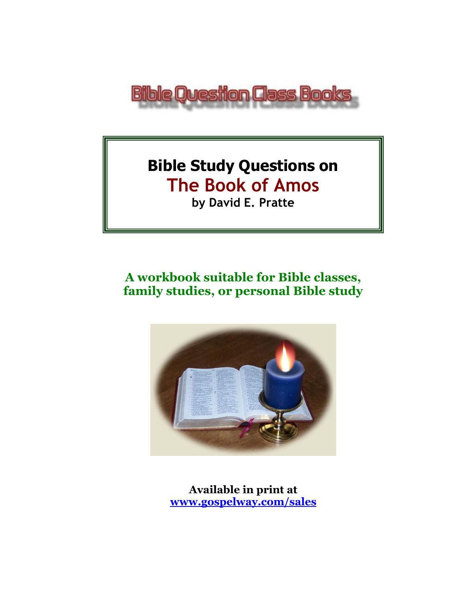

# **Bible Study Questions on The Book of Amos by David E. Pratte**

# **A workbook suitable for Bible classes, family studies, or personal Bible study**



**Available in print at [www.gospelway.com/sales](https://www.gospelway.com/sales)**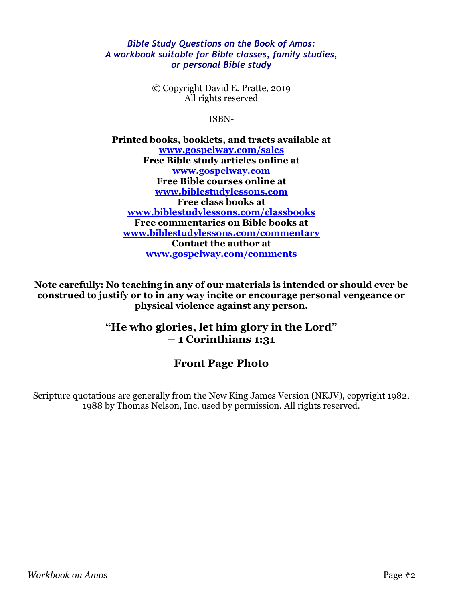#### *Bible Study Questions on the Book of Amos: A workbook suitable for Bible classes, family studies, or personal Bible study*

© Copyright David E. Pratte, 2019 All rights reserved

ISBN-

**Printed books, booklets, and tracts available at [www.gospelway.com/sales](https://www.gospelway.com/sales) Free Bible study articles online at [www.gospelway.com](http://www.gospelway.com/) Free Bible courses online at [www.biblestudylessons.com](http://www.biblestudylessons.com/) Free class books at [www.biblestudylessons.com/classbooks](http://www.biblestudylessons.com/classbooks) Free commentaries on Bible books at [www.biblestudylessons.com/commentary](https://www.biblestudylessons.com/commentary) Contact the author at [www.gospelway.com/comments](http://www.gospelway.com/comments)**

**Note carefully: No teaching in any of our materials is intended or should ever be construed to justify or to in any way incite or encourage personal vengeance or physical violence against any person.**

### **"He who glories, let him glory in the Lord" – 1 Corinthians 1:31**

### **Front Page Photo**

Scripture quotations are generally from the New King James Version (NKJV), copyright 1982, 1988 by Thomas Nelson, Inc. used by permission. All rights reserved.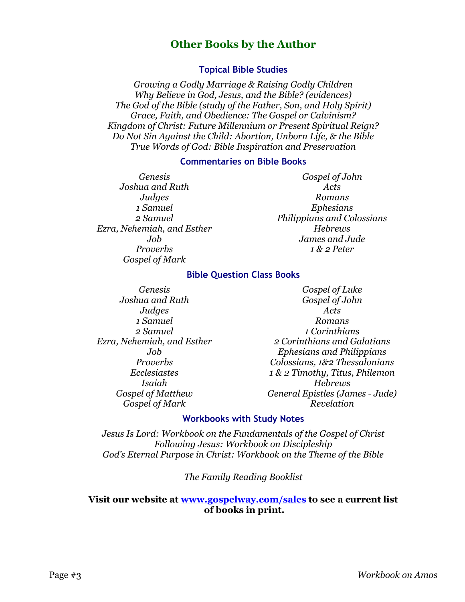### **Other Books by the Author**

#### **Topical Bible Studies**

*Growing a Godly Marriage & Raising Godly Children Why Believe in God, Jesus, and the Bible? (evidences) The God of the Bible (study of the Father, Son, and Holy Spirit) Grace, Faith, and Obedience: The Gospel or Calvinism? Kingdom of Christ: Future Millennium or Present Spiritual Reign? Do Not Sin Against the Child: Abortion, Unborn Life, & the Bible True Words of God: Bible Inspiration and Preservation*

#### **Commentaries on Bible Books**

*Genesis Joshua and Ruth Judges 1 Samuel 2 Samuel Ezra, Nehemiah, and Esther Job Proverbs Gospel of Mark* 

*Gospel of John Acts Romans Ephesians Philippians and Colossians Hebrews James and Jude 1 & 2 Peter*

#### **Bible Question Class Books**

*Genesis Joshua and Ruth Judges 1 Samuel 2 Samuel Ezra, Nehemiah, and Esther Job Proverbs Ecclesiastes Isaiah Gospel of Matthew Gospel of Mark*

*Gospel of Luke Gospel of John Acts Romans 1 Corinthians 2 Corinthians and Galatians Ephesians and Philippians Colossians, 1&2 Thessalonians 1 & 2 Timothy, Titus, Philemon Hebrews General Epistles (James - Jude) Revelation*

#### **Workbooks with Study Notes**

*Jesus Is Lord: Workbook on the Fundamentals of the Gospel of Christ Following Jesus: Workbook on Discipleship God's Eternal Purpose in Christ: Workbook on the Theme of the Bible*

*The Family Reading Booklist*

#### **Visit our website at [www.gospelway.com/sales](https://www.gospelway.com/sales) to see a current list of books in print.**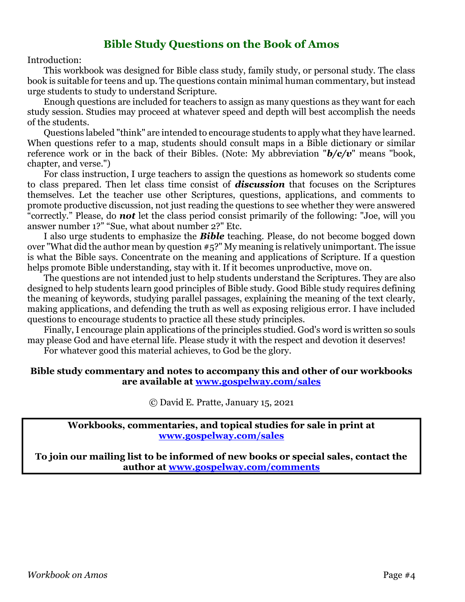### **Bible Study Questions on the Book of Amos**

Introduction:

This workbook was designed for Bible class study, family study, or personal study. The class book is suitable for teens and up. The questions contain minimal human commentary, but instead urge students to study to understand Scripture.

Enough questions are included for teachers to assign as many questions as they want for each study session. Studies may proceed at whatever speed and depth will best accomplish the needs of the students.

Questions labeled "think" are intended to encourage students to apply what they have learned. When questions refer to a map, students should consult maps in a Bible dictionary or similar reference work or in the back of their Bibles. (Note: My abbreviation "*b/c/v*" means "book, chapter, and verse.")

For class instruction, I urge teachers to assign the questions as homework so students come to class prepared. Then let class time consist of *discussion* that focuses on the Scriptures themselves. Let the teacher use other Scriptures, questions, applications, and comments to promote productive discussion, not just reading the questions to see whether they were answered "correctly." Please, do *not* let the class period consist primarily of the following: "Joe, will you answer number 1?" "Sue, what about number 2?" Etc.

I also urge students to emphasize the *Bible* teaching. Please, do not become bogged down over "What did the author mean by question #5?" My meaning is relatively unimportant. The issue is what the Bible says. Concentrate on the meaning and applications of Scripture. If a question helps promote Bible understanding, stay with it. If it becomes unproductive, move on.

The questions are not intended just to help students understand the Scriptures. They are also designed to help students learn good principles of Bible study. Good Bible study requires defining the meaning of keywords, studying parallel passages, explaining the meaning of the text clearly, making applications, and defending the truth as well as exposing religious error. I have included questions to encourage students to practice all these study principles.

Finally, I encourage plain applications of the principles studied. God's word is written so souls may please God and have eternal life. Please study it with the respect and devotion it deserves!

For whatever good this material achieves, to God be the glory.

#### **Bible study commentary and notes to accompany this and other of our workbooks are available at [www.gospelway.com/sales](https://www.gospelway.com/sales)**

© David E. Pratte, January 15, 2021

**Workbooks, commentaries, and topical studies for sale in print at [www.gospelway.com/sales](https://www.gospelway.com/sales)**

**To join our mailing list to be informed of new books or special sales, contact the author at [www.gospelway.com/comments](http://www.gospelway.com/comments)**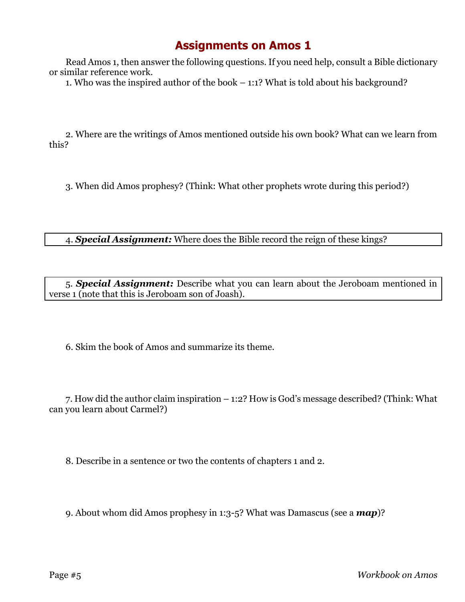Read Amos 1, then answer the following questions. If you need help, consult a Bible dictionary or similar reference work.

1. Who was the inspired author of the book – 1:1? What is told about his background?

2. Where are the writings of Amos mentioned outside his own book? What can we learn from this?

3. When did Amos prophesy? (Think: What other prophets wrote during this period?)

4. *Special Assignment:* Where does the Bible record the reign of these kings?

5. *Special Assignment:* Describe what you can learn about the Jeroboam mentioned in verse 1 (note that this is Jeroboam son of Joash).

6. Skim the book of Amos and summarize its theme.

7. How did the author claim inspiration – 1:2? How is God's message described? (Think: What can you learn about Carmel?)

8. Describe in a sentence or two the contents of chapters 1 and 2.

9. About whom did Amos prophesy in 1:3-5? What was Damascus (see a *map*)?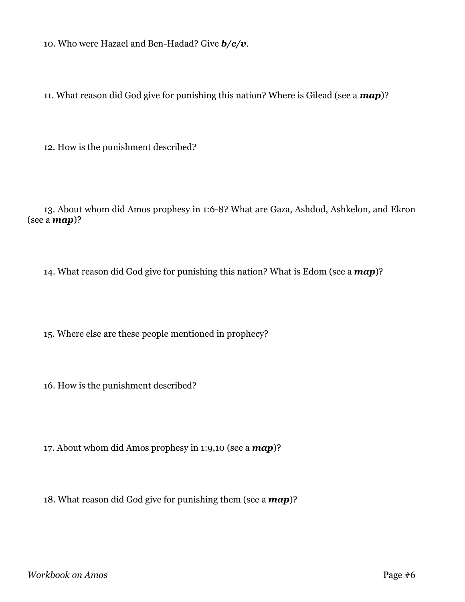10. Who were Hazael and Ben-Hadad? Give *b/c/v*.

11. What reason did God give for punishing this nation? Where is Gilead (see a *map*)?

12. How is the punishment described?

13. About whom did Amos prophesy in 1:6-8? What are Gaza, Ashdod, Ashkelon, and Ekron (see a *map*)?

14. What reason did God give for punishing this nation? What is Edom (see a *map*)?

15. Where else are these people mentioned in prophecy?

16. How is the punishment described?

17. About whom did Amos prophesy in 1:9,10 (see a *map*)?

18. What reason did God give for punishing them (see a *map*)?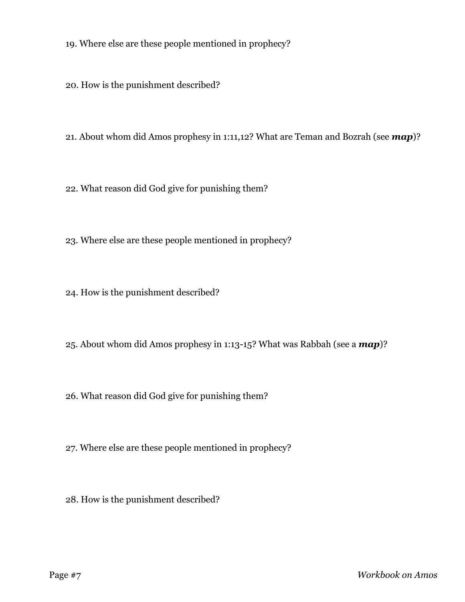19. Where else are these people mentioned in prophecy?

20. How is the punishment described?

21. About whom did Amos prophesy in 1:11,12? What are Teman and Bozrah (see *map*)?

22. What reason did God give for punishing them?

23. Where else are these people mentioned in prophecy?

24. How is the punishment described?

25. About whom did Amos prophesy in 1:13-15? What was Rabbah (see a *map*)?

26. What reason did God give for punishing them?

27. Where else are these people mentioned in prophecy?

28. How is the punishment described?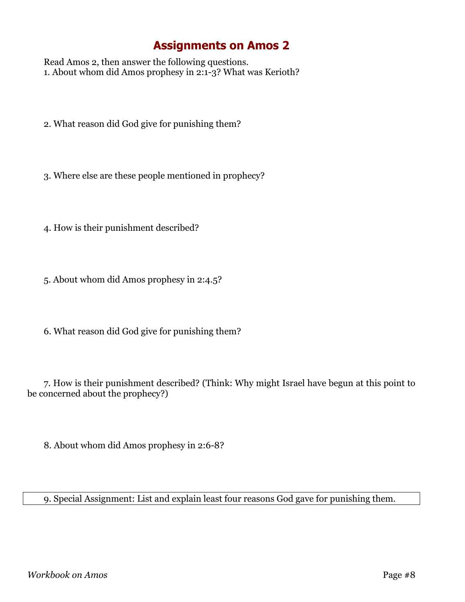Read Amos 2, then answer the following questions. 1. About whom did Amos prophesy in 2:1-3? What was Kerioth?

- 2. What reason did God give for punishing them?
- 3. Where else are these people mentioned in prophecy?
- 4. How is their punishment described?
- 5. About whom did Amos prophesy in 2:4.5?
- 6. What reason did God give for punishing them?

7. How is their punishment described? (Think: Why might Israel have begun at this point to be concerned about the prophecy?)

8. About whom did Amos prophesy in 2:6-8?

9. Special Assignment: List and explain least four reasons God gave for punishing them.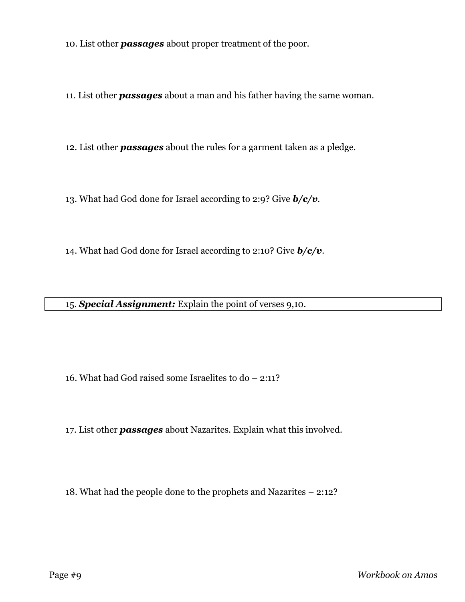10. List other *passages* about proper treatment of the poor.

11. List other *passages* about a man and his father having the same woman.

12. List other *passages* about the rules for a garment taken as a pledge.

13. What had God done for Israel according to 2:9? Give *b/c/v*.

14. What had God done for Israel according to 2:10? Give *b/c/v*.

15. *Special Assignment:* Explain the point of verses 9,10.

16. What had God raised some Israelites to do – 2:11?

17. List other *passages* about Nazarites. Explain what this involved.

18. What had the people done to the prophets and Nazarites – 2:12?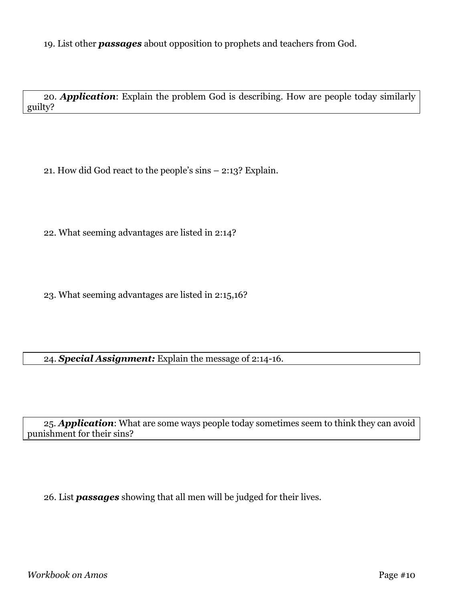20. *Application*: Explain the problem God is describing. How are people today similarly guilty?

21. How did God react to the people's sins – 2:13? Explain.

22. What seeming advantages are listed in 2:14?

23. What seeming advantages are listed in 2:15,16?

24. *Special Assignment:* Explain the message of 2:14-16.

25. *Application*: What are some ways people today sometimes seem to think they can avoid punishment for their sins?

26. List *passages* showing that all men will be judged for their lives.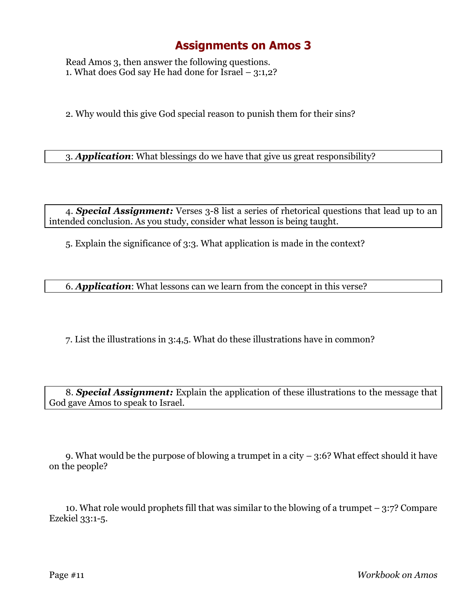Read Amos 3, then answer the following questions. 1. What does God say He had done for Israel – 3:1,2?

2. Why would this give God special reason to punish them for their sins?

3. *Application*: What blessings do we have that give us great responsibility?

4. *Special Assignment:* Verses 3-8 list a series of rhetorical questions that lead up to an intended conclusion. As you study, consider what lesson is being taught.

5. Explain the significance of 3:3. What application is made in the context?

6. *Application*: What lessons can we learn from the concept in this verse?

7. List the illustrations in 3:4,5. What do these illustrations have in common?

8. *Special Assignment:* Explain the application of these illustrations to the message that God gave Amos to speak to Israel.

9. What would be the purpose of blowing a trumpet in a city  $-3.6$ ? What effect should it have on the people?

10. What role would prophets fill that was similar to the blowing of a trumpet  $-3:7$ ? Compare Ezekiel 33:1-5.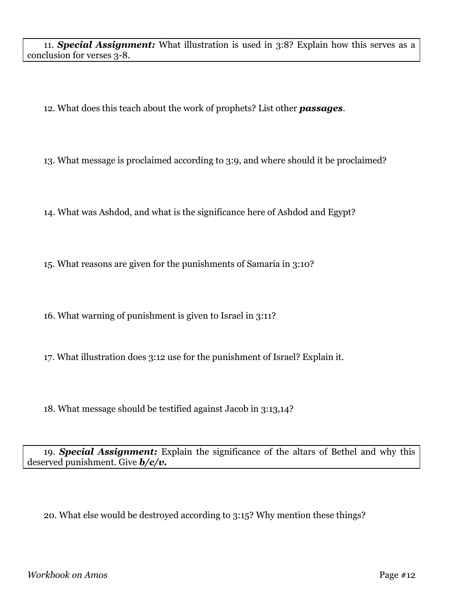11. *Special Assignment:* What illustration is used in 3:8? Explain how this serves as a conclusion for verses 3-8.

12. What does this teach about the work of prophets? List other *passages*.

13. What message is proclaimed according to 3:9, and where should it be proclaimed?

14. What was Ashdod, and what is the significance here of Ashdod and Egypt?

15. What reasons are given for the punishments of Samaria in 3:10?

16. What warning of punishment is given to Israel in 3:11?

17. What illustration does 3:12 use for the punishment of Israel? Explain it.

18. What message should be testified against Jacob in 3:13,14?

19. *Special Assignment:* Explain the significance of the altars of Bethel and why this deserved punishment. Give *b/c/v.*

20. What else would be destroyed according to 3:15? Why mention these things?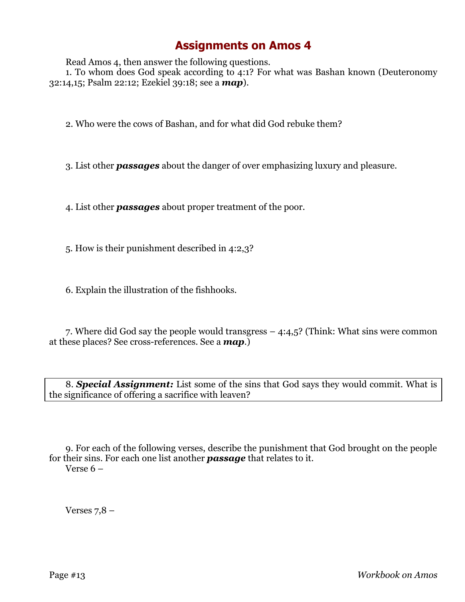Read Amos 4, then answer the following questions.

1. To whom does God speak according to 4:1? For what was Bashan known (Deuteronomy 32:14,15; Psalm 22:12; Ezekiel 39:18; see a *map*).

2. Who were the cows of Bashan, and for what did God rebuke them?

3. List other *passages* about the danger of over emphasizing luxury and pleasure.

4. List other *passages* about proper treatment of the poor.

5. How is their punishment described in 4:2,3?

6. Explain the illustration of the fishhooks.

7. Where did God say the people would transgress – 4:4,5? (Think: What sins were common at these places? See cross-references. See a *map*.)

8. *Special Assignment:* List some of the sins that God says they would commit. What is the significance of offering a sacrifice with leaven?

9. For each of the following verses, describe the punishment that God brought on the people for their sins. For each one list another *passage* that relates to it. Verse 6 –

Verses  $7,8$  –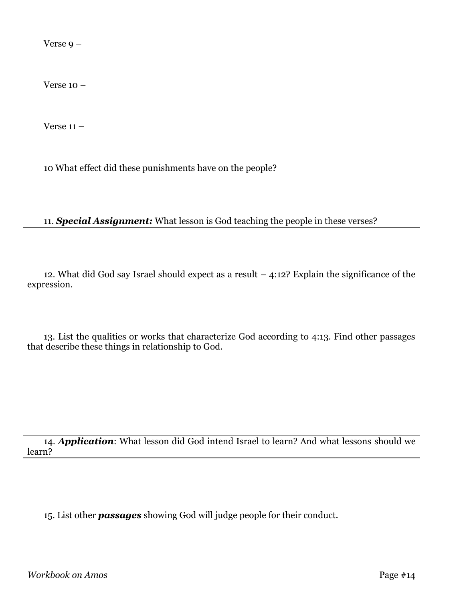Verse 9 –

Verse 10 –

Verse  $11 -$ 

10 What effect did these punishments have on the people?

#### 11. *Special Assignment:* What lesson is God teaching the people in these verses?

12. What did God say Israel should expect as a result – 4:12? Explain the significance of the expression.

13. List the qualities or works that characterize God according to 4:13. Find other passages that describe these things in relationship to God.

14. *Application*: What lesson did God intend Israel to learn? And what lessons should we learn?

15. List other *passages* showing God will judge people for their conduct.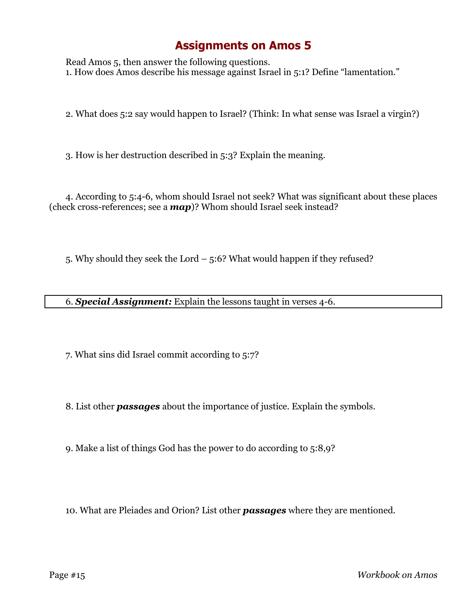Read Amos 5, then answer the following questions. 1. How does Amos describe his message against Israel in 5:1? Define "lamentation."

2. What does 5:2 say would happen to Israel? (Think: In what sense was Israel a virgin?)

3. How is her destruction described in 5:3? Explain the meaning.

4. According to 5:4-6, whom should Israel not seek? What was significant about these places (check cross-references; see a *map*)? Whom should Israel seek instead?

5. Why should they seek the Lord – 5:6? What would happen if they refused?

6. *Special Assignment:* Explain the lessons taught in verses 4-6.

7. What sins did Israel commit according to 5:7?

8. List other *passages* about the importance of justice. Explain the symbols.

9. Make a list of things God has the power to do according to 5:8,9?

10. What are Pleiades and Orion? List other *passages* where they are mentioned.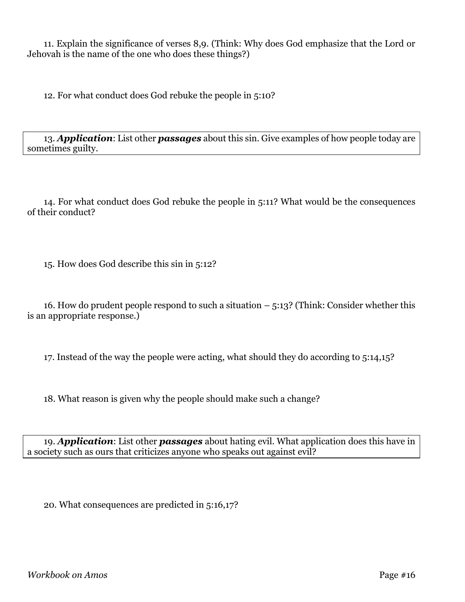11. Explain the significance of verses 8,9. (Think: Why does God emphasize that the Lord or Jehovah is the name of the one who does these things?)

12. For what conduct does God rebuke the people in 5:10?

13. *Application*: List other *passages* about this sin. Give examples of how people today are sometimes guilty.

14. For what conduct does God rebuke the people in 5:11? What would be the consequences of their conduct?

15. How does God describe this sin in 5:12?

16. How do prudent people respond to such a situation – 5:13? (Think: Consider whether this is an appropriate response.)

17. Instead of the way the people were acting, what should they do according to 5:14,15?

18. What reason is given why the people should make such a change?

19. *Application*: List other *passages* about hating evil. What application does this have in a society such as ours that criticizes anyone who speaks out against evil?

20. What consequences are predicted in 5:16,17?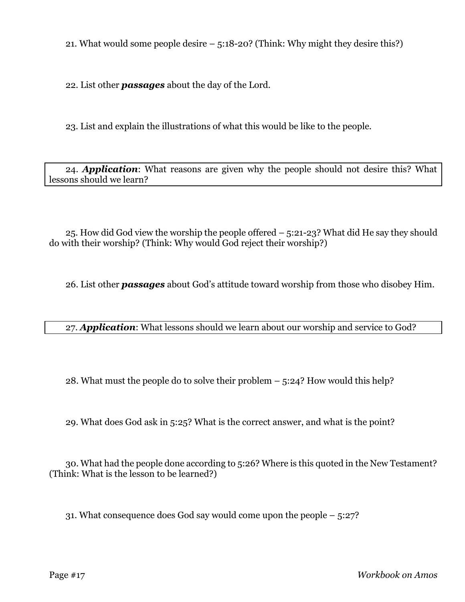21. What would some people desire – 5:18-20? (Think: Why might they desire this?)

22. List other *passages* about the day of the Lord.

23. List and explain the illustrations of what this would be like to the people.

24. *Application*: What reasons are given why the people should not desire this? What lessons should we learn?

25. How did God view the worship the people offered – 5:21-23? What did He say they should do with their worship? (Think: Why would God reject their worship?)

26. List other *passages* about God's attitude toward worship from those who disobey Him.

27. *Application*: What lessons should we learn about our worship and service to God?

28. What must the people do to solve their problem – 5:24? How would this help?

29. What does God ask in 5:25? What is the correct answer, and what is the point?

30. What had the people done according to 5:26? Where is this quoted in the New Testament? (Think: What is the lesson to be learned?)

31. What consequence does God say would come upon the people – 5:27?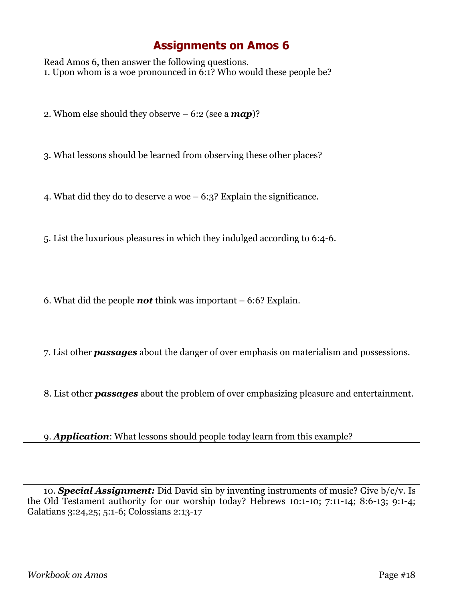Read Amos 6, then answer the following questions. 1. Upon whom is a woe pronounced in 6:1? Who would these people be?

2. Whom else should they observe – 6:2 (see a *map*)?

3. What lessons should be learned from observing these other places?

4. What did they do to deserve a woe – 6:3? Explain the significance.

5. List the luxurious pleasures in which they indulged according to 6:4-6.

6. What did the people *not* think was important – 6:6? Explain.

7. List other *passages* about the danger of over emphasis on materialism and possessions.

8. List other *passages* about the problem of over emphasizing pleasure and entertainment.

9. *Application*: What lessons should people today learn from this example?

10. *Special Assignment:* Did David sin by inventing instruments of music? Give b/c/v. Is the Old Testament authority for our worship today? Hebrews 10:1-10; 7:11-14; 8:6-13; 9:1-4; Galatians 3:24,25; 5:1-6; Colossians 2:13-17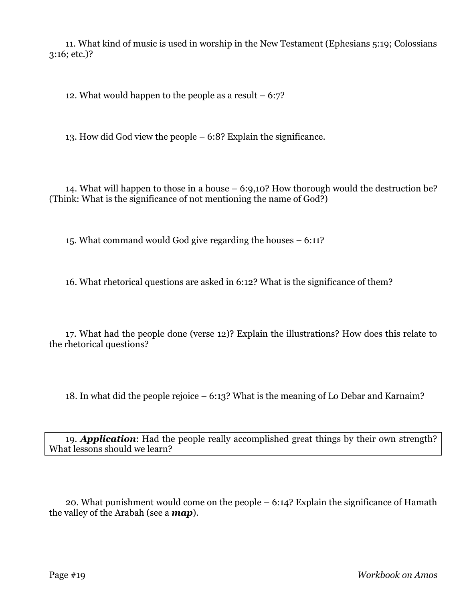11. What kind of music is used in worship in the New Testament (Ephesians 5:19; Colossians 3:16; etc.)?

12. What would happen to the people as a result  $-6:7$ ?

13. How did God view the people – 6:8? Explain the significance.

14. What will happen to those in a house – 6:9,10? How thorough would the destruction be? (Think: What is the significance of not mentioning the name of God?)

15. What command would God give regarding the houses – 6:11?

16. What rhetorical questions are asked in 6:12? What is the significance of them?

17. What had the people done (verse 12)? Explain the illustrations? How does this relate to the rhetorical questions?

18. In what did the people rejoice – 6:13? What is the meaning of Lo Debar and Karnaim?

19. *Application*: Had the people really accomplished great things by their own strength? What lessons should we learn?

20. What punishment would come on the people – 6:14? Explain the significance of Hamath the valley of the Arabah (see a *map*).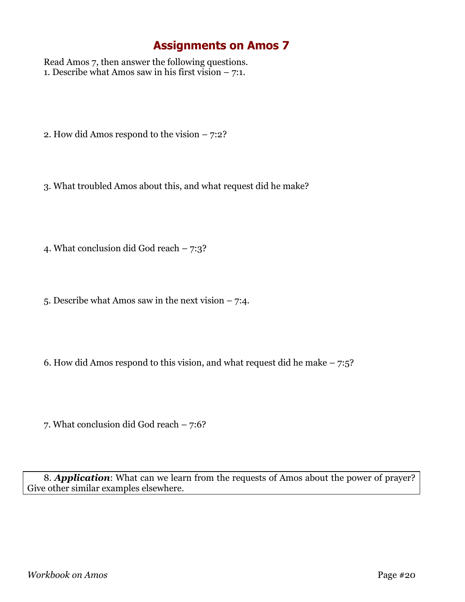Read Amos 7, then answer the following questions. 1. Describe what Amos saw in his first vision  $-7:1$ .

- 2. How did Amos respond to the vision 7:2?
- 3. What troubled Amos about this, and what request did he make?
- 4. What conclusion did God reach 7:3?
- 5. Describe what Amos saw in the next vision 7:4.
- 6. How did Amos respond to this vision, and what request did he make  $-7:5$ ?
- 7. What conclusion did God reach 7:6?

8. *Application*: What can we learn from the requests of Amos about the power of prayer? Give other similar examples elsewhere.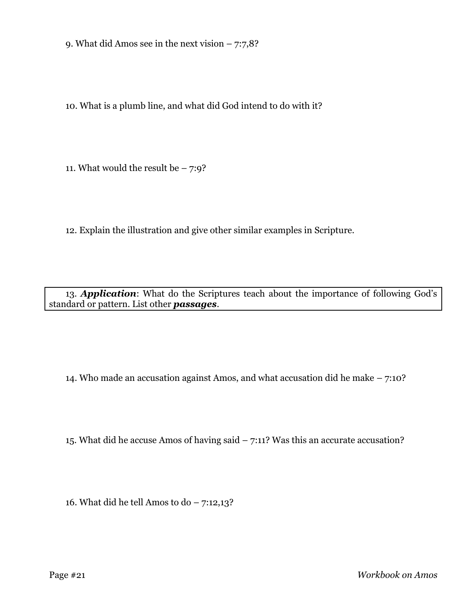9. What did Amos see in the next vision  $-7:7,8$ ?

10. What is a plumb line, and what did God intend to do with it?

11. What would the result be  $-7:9$ ?

12. Explain the illustration and give other similar examples in Scripture.

13. *Application*: What do the Scriptures teach about the importance of following God's standard or pattern. List other *passages*.

14. Who made an accusation against Amos, and what accusation did he make – 7:10?

15. What did he accuse Amos of having said – 7:11? Was this an accurate accusation?

16. What did he tell Amos to do – 7:12,13?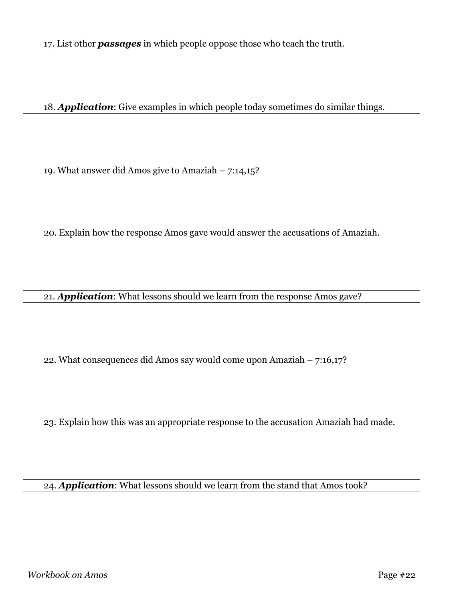17. List other *passages* in which people oppose those who teach the truth.

18. *Application*: Give examples in which people today sometimes do similar things.

19. What answer did Amos give to Amaziah – 7:14,15?

20. Explain how the response Amos gave would answer the accusations of Amaziah.

21. *Application*: What lessons should we learn from the response Amos gave?

22. What consequences did Amos say would come upon Amaziah – 7:16,17?

23. Explain how this was an appropriate response to the accusation Amaziah had made.

24. *Application*: What lessons should we learn from the stand that Amos took?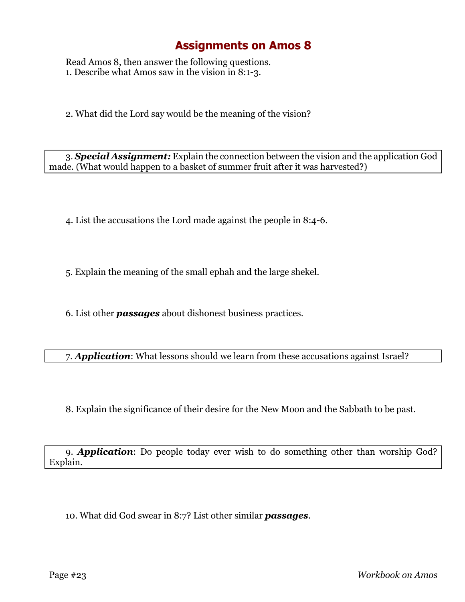Read Amos 8, then answer the following questions. 1. Describe what Amos saw in the vision in 8:1-3.

2. What did the Lord say would be the meaning of the vision?

3. *Special Assignment:* Explain the connection between the vision and the application God made. (What would happen to a basket of summer fruit after it was harvested?)

4. List the accusations the Lord made against the people in 8:4-6.

5. Explain the meaning of the small ephah and the large shekel.

6. List other *passages* about dishonest business practices.

7. *Application*: What lessons should we learn from these accusations against Israel?

8. Explain the significance of their desire for the New Moon and the Sabbath to be past.

9. *Application*: Do people today ever wish to do something other than worship God? Explain.

10. What did God swear in 8:7? List other similar *passages*.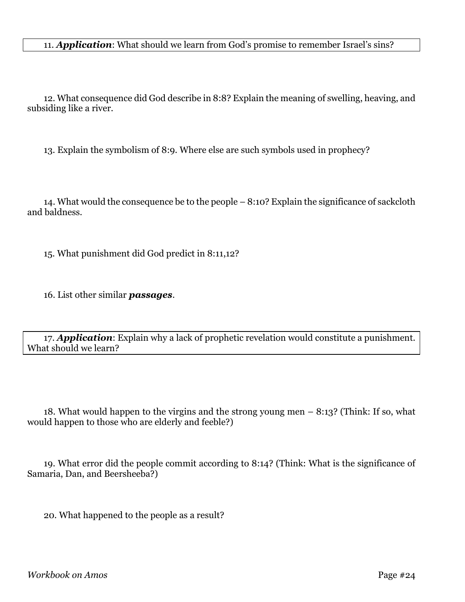#### 11. *Application*: What should we learn from God's promise to remember Israel's sins?

12. What consequence did God describe in 8:8? Explain the meaning of swelling, heaving, and subsiding like a river.

13. Explain the symbolism of 8:9. Where else are such symbols used in prophecy?

14. What would the consequence be to the people – 8:10? Explain the significance of sackcloth and baldness.

15. What punishment did God predict in 8:11,12?

16. List other similar *passages*.

17. *Application*: Explain why a lack of prophetic revelation would constitute a punishment. What should we learn?

18. What would happen to the virgins and the strong young men – 8:13? (Think: If so, what would happen to those who are elderly and feeble?)

19. What error did the people commit according to 8:14? (Think: What is the significance of Samaria, Dan, and Beersheeba?)

20. What happened to the people as a result?

*Workbook on Amos* Page #24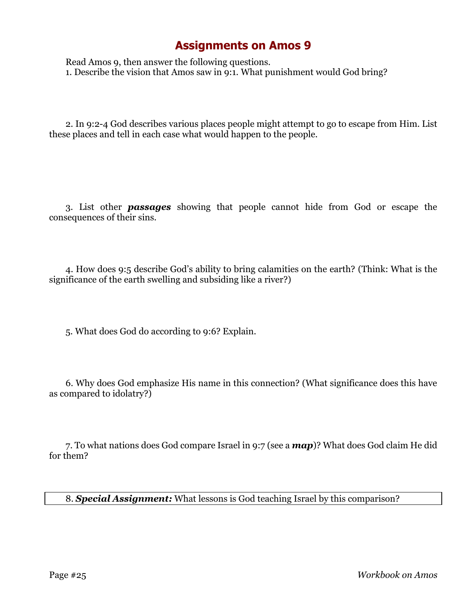Read Amos 9, then answer the following questions. 1. Describe the vision that Amos saw in 9:1. What punishment would God bring?

2. In 9:2-4 God describes various places people might attempt to go to escape from Him. List these places and tell in each case what would happen to the people.

3. List other *passages* showing that people cannot hide from God or escape the consequences of their sins.

4. How does 9:5 describe God's ability to bring calamities on the earth? (Think: What is the significance of the earth swelling and subsiding like a river?)

5. What does God do according to 9:6? Explain.

6. Why does God emphasize His name in this connection? (What significance does this have as compared to idolatry?)

7. To what nations does God compare Israel in 9:7 (see a *map*)? What does God claim He did for them?

8. *Special Assignment:* What lessons is God teaching Israel by this comparison?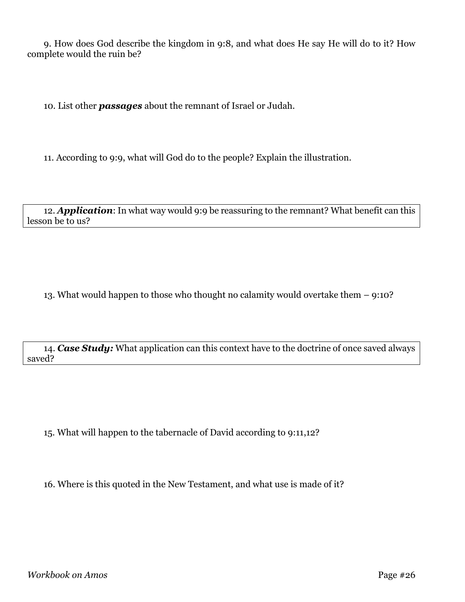9. How does God describe the kingdom in 9:8, and what does He say He will do to it? How complete would the ruin be?

10. List other *passages* about the remnant of Israel or Judah.

11. According to 9:9, what will God do to the people? Explain the illustration.

12. *Application*: In what way would 9:9 be reassuring to the remnant? What benefit can this lesson be to us?

13. What would happen to those who thought no calamity would overtake them – 9:10?

14. *Case Study:* What application can this context have to the doctrine of once saved always saved?

15. What will happen to the tabernacle of David according to 9:11,12?

16. Where is this quoted in the New Testament, and what use is made of it?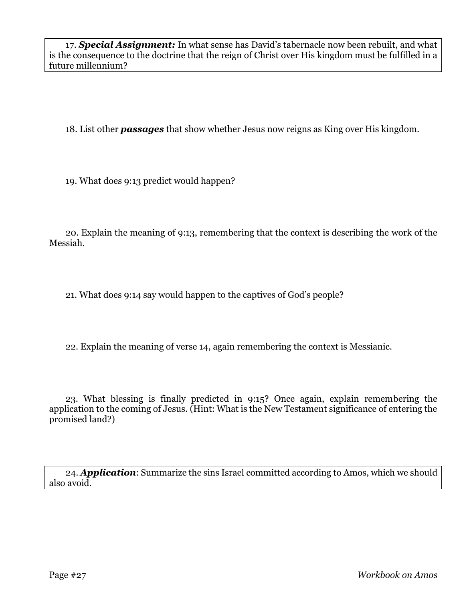17. *Special Assignment:* In what sense has David's tabernacle now been rebuilt, and what is the consequence to the doctrine that the reign of Christ over His kingdom must be fulfilled in a future millennium?

18. List other *passages* that show whether Jesus now reigns as King over His kingdom.

19. What does 9:13 predict would happen?

20. Explain the meaning of 9:13, remembering that the context is describing the work of the Messiah.

21. What does 9:14 say would happen to the captives of God's people?

22. Explain the meaning of verse 14, again remembering the context is Messianic.

23. What blessing is finally predicted in 9:15? Once again, explain remembering the application to the coming of Jesus. (Hint: What is the New Testament significance of entering the promised land?)

24. *Application*: Summarize the sins Israel committed according to Amos, which we should also avoid.